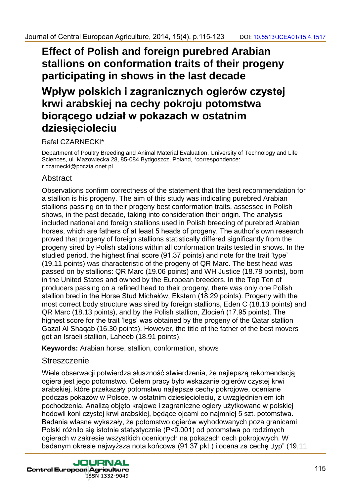# **Effect of Polish and foreign purebred Arabian stallions on conformation traits of their progeny participating in shows in the last decade**

## **Wpływ polskich i zagranicznych ogierów czystej krwi arabskiej na cechy pokroju potomstwa biorącego udział w pokazach w ostatnim dziesięcioleciu**

### Rafał CZARNECKI\*

Department of Poultry Breeding and Animal Material Evaluation, University of Technology and Life Sciences, ul. Mazowiecka 28, 85-084 Bydgoszcz, Poland, \*correspondence: r.czarnecki@poczta.onet.pl

## Abstract

Observations confirm correctness of the statement that the best recommendation for a stallion is his progeny. The aim of this study was indicating purebred Arabian stallions passing on to their progeny best conformation traits, assessed in Polish shows, in the past decade, taking into consideration their origin. The analysis included national and foreign stallions used in Polish breeding of purebred Arabian horses, which are fathers of at least 5 heads of progeny. The author's own research proved that progeny of foreign stallions statistically differed significantly from the progeny sired by Polish stallions within all conformation traits tested in shows. In the studied period, the highest final score (91.37 points) and note for the trait 'type' (19.11 points) was characteristic of the progeny of QR Marc. The best head was passed on by stallions: QR Marc (19.06 points) and WH Justice (18.78 points), born in the United States and owned by the European breeders. In the Top Ten of producers passing on a refined head to their progeny, there was only one Polish stallion bred in the Horse Stud Michałów, Ekstern (18.29 points). Progeny with the most correct body structure was sired by foreign stallions, Eden C (18.13 points) and QR Marc (18.13 points), and by the Polish stallion, Złocień (17.95 points). The highest score for the trait 'legs' was obtained by the progeny of the Qatar stallion Gazal Al Shaqab (16.30 points). However, the title of the father of the best movers got an Israeli stallion, Laheeb (18.91 points). Journal of Central European Agriculture, 2014, 1943, p.115-123 = 00: 19581392-06: 19581<br>
Effect of Polish and foresign pure hered Arabian<br>
Stallions on conformation traits of their progeny<br>
participating in shows in the l

**Keywords:** Arabian horse, stallion, conformation, shows

## **Streszczenie**

Wiele obserwacji potwierdza słuszność stwierdzenia, że najlepszą rekomendacją ogiera jest jego potomstwo. Celem pracy było wskazanie ogierów czystej krwi arabskiej, które przekazały potomstwu najlepsze cechy pokrojowe, oceniane podczas pokazów w Polsce, w ostatnim dziesięcioleciu, z uwzględnieniem ich pochodzenia. Analizą objęto krajowe i zagraniczne ogiery użytkowane w polskiej hodowli koni czystej krwi arabskiej, będące ojcami co najmniej 5 szt. potomstwa. Badania własne wykazały, że potomstwo ogierów wyhodowanych poza granicami Polski różniło się istotnie statystycznie (P<0.001) od potomstwa po rodzimych ogierach w zakresie wszystkich ocenionych na pokazach cech pokrojowych. W badanym okresie najwyższa nota końcowa (91,37 pkt.) i ocena za cechę "typ" (19,11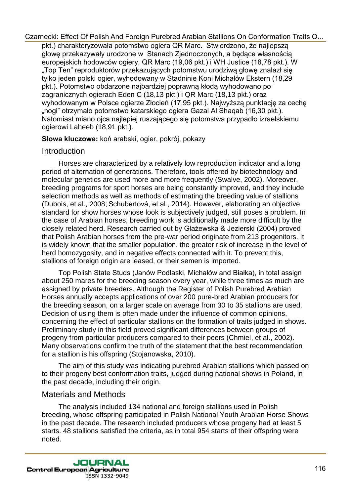pkt.) charakteryzowała potomstwo ogiera QR Marc. Stwierdzono, że najlepszą głowę przekazywały urodzone w Stanach Zjednoczonych, a będące własnością europejskich hodowców ogiery, QR Marc (19,06 pkt.) i WH Justice (18,78 pkt.). W "Top Ten" reproduktorów przekazujących potomstwu urodziwą głowę znalazł się tylko jeden polski ogier, wyhodowany w Stadninie Koni Michałów Ekstern (18,29 pkt.). Potomstwo obdarzone najbardziej poprawną kłodą wyhodowano po zagranicznych ogierach Eden C (18,13 pkt.) i QR Marc (18,13 pkt.) oraz wyhodowanym w Polsce ogierze Złocień (17,95 pkt.). Najwyższą punktację za cechę "nogi" otrzymało potomstwo katarskiego ogiera Gazal Al Shaqab (16,30 pkt.). Natomiast miano ojca najlepiej ruszającego się potomstwa przypadło izraelskiemu ogierowi Laheeb (18,91 pkt.).

**Słowa kluczowe:** koń arabski, ogier, pokrój, pokazy

## **Introduction**

Horses are characterized by a relatively low reproduction indicator and a long period of alternation of generations. Therefore, tools offered by biotechnology and molecular genetics are used more and more frequently (Swalve, 2002). Moreover, breeding programs for sport horses are being constantly improved, and they include selection methods as well as methods of estimating the breeding value of stallions (Dubois, et al., 2008; Schubertová, et al., 2014). However, elaborating an objective standard for show horses whose look is subjectively judged, still poses a problem. In the case of Arabian horses, breeding work is additionally made more difficult by the closely related herd. Research carried out by Głażewska & Jezierski (2004) proved that Polish Arabian horses from the pre-war period originate from 213 progenitors. It is widely known that the smaller population, the greater risk of increase in the level of herd homozygosity, and in negative effects connected with it. To prevent this, stallions of foreign origin are leased, or their semen is imported. Czarnecki. Efter tieration Carelian Pureletian And Froreign Pureletian And Froreign Pureletian And Froreign Pureletian And Froreign Pureletian Carelian Carelian Carelian Carelian Carelian Carelian Carelian Carelian Careli

Top Polish State Studs (Janów Podlaski, Michałów and Białka), in total assign about 250 mares for the breeding season every year, while three times as much are assigned by private breeders. Although the Register of Polish Purebred Arabian Horses annually accepts applications of over 200 pure-bred Arabian producers for the breeding season, on a larger scale on average from 30 to 35 stallions are used. Decision of using them is often made under the influence of common opinions, concerning the effect of particular stallions on the formation of traits judged in shows. Preliminary study in this field proved significant differences between groups of progeny from particular producers compared to their peers (Chmiel, et al., 2002). Many observations confirm the truth of the statement that the best recommendation for a stallion is his offspring (Stojanowska, 2010).

The aim of this study was indicating purebred Arabian stallions which passed on to their progeny best conformation traits, judged during national shows in Poland, in the past decade, including their origin.

## Materials and Methods

The analysis included 134 national and foreign stallions used in Polish breeding, whose offspring participated in Polish National Youth Arabian Horse Shows in the past decade. The research included producers whose progeny had at least 5 starts. 48 stallions satisfied the criteria, as in total 954 starts of their offspring were noted.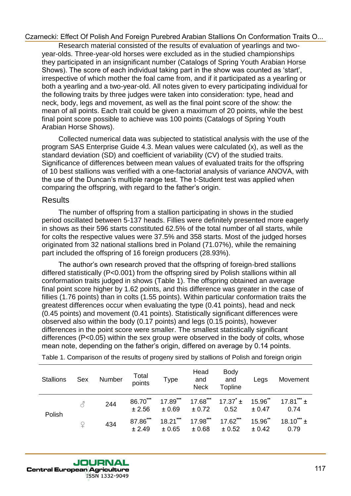Research material consisted of the results of evaluation of yearlings and twoyear-olds. Three-year-old horses were excluded as in the studied championships they participated in an insignificant number (Catalogs of Spring Youth Arabian Horse Shows). The score of each individual taking part in the show was counted as 'start', irrespective of which mother the foal came from, and if it participated as a yearling or both a yearling and a two-year-old. All notes given to every participating individual for the following traits by three judges were taken into consideration: type, head and neck, body, legs and movement, as well as the final point score of the show: the mean of all points. Each trait could be given a maximum of 20 points, while the best final point score possible to achieve was 100 points (Catalogs of Spring Youth Arabian Horse Shows).

Collected numerical data was subjected to statistical analysis with the use of the program SAS Enterprise Guide 4.3. Mean values were calculated (x), as well as the standard deviation (SD) and coefficient of variability (CV) of the studied traits. Significance of differences between mean values of evaluated traits for the offspring of 10 best stallions was verified with a one-factorial analysis of variance ANOVA, with the use of the Duncan's multiple range test. The t-Student test was applied when comparing the offspring, with regard to the father's origin.

## Results

The number of offspring from a stallion participating in shows in the studied period oscillated between 5-137 heads. Fillies were definitely presented more eagerly in shows as their 596 starts constituted 62.5% of the total number of all starts, while for colts the respective values were 37.5% and 358 starts. Most of the judged horses originated from 32 national stallions bred in Poland (71.07%), while the remaining part included the offspring of 16 foreign producers (28.93%).

The author's own research proved that the offspring of foreign-bred stallions differed statistically (P<0.001) from the offspring sired by Polish stallions within all conformation traits judged in shows (Table 1). The offspring obtained an average final point score higher by 1.62 points, and this difference was greater in the case of fillies (1.76 points) than in colts (1.55 points). Within particular conformation traits the greatest differences occur when evaluating the type (0.41 points), head and neck (0.45 points) and movement (0.41 points). Statistically significant differences were observed also within the body (0.17 points) and legs (0.15 points), however differences in the point score were smaller. The smallest statistically significant differences (P<0.05) within the sex group were observed in the body of colts, whose mean note, depending on the father's origin, differed on average by 0.14 points. Czarnecki. Effect of Proleh And Evropian Purchers Antalian Stalinons On Conformation Trails of the Antalian Stalinons On Conformation Trails of the stars of the stars of the stars of the stars of the stars of the stars of

| <b>Stallions</b> | Sex | Number | Total<br>points    | Type                 | Head<br>and<br><b>Neck</b> | <b>Body</b><br>and<br><b>Topline</b>             | Legs                 | Movement                |
|------------------|-----|--------|--------------------|----------------------|----------------------------|--------------------------------------------------|----------------------|-------------------------|
| Polish           | З   | 244    | 86.70***<br>± 2.56 | $17.89***$<br>± 0.69 | ± 0.72                     | $17.68^{***}$ $17.37^{*}$ ± $15.96^{**}$<br>0.52 | ± 0.47               | 17.81*** $\pm$<br>0.74  |
|                  | P   | 434    | 87.86***<br>± 2.49 | $18.21***$<br>± 0.65 | $17.98***$<br>± 0.68       | $17.62***$<br>± 0.52                             | $15.96$ **<br>± 0.42 | $18.10^{***}$ ±<br>0.79 |

Table 1. Comparison of the results of progeny sired by stallions of Polish and foreign origin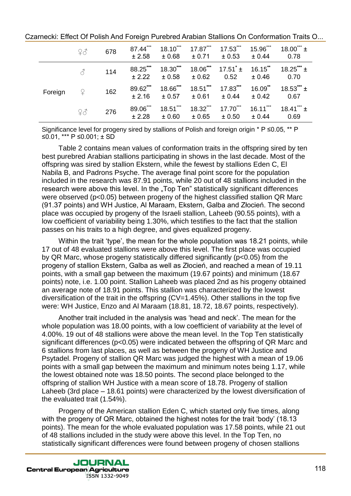|         | 93            | 678 | 87.44***<br>± 2.58 | $18.10***$<br>±0.68  | $17.87***$<br>± 0.71 | $17.53***$<br>± 0.53        | $15.96***$<br>± 0.44 | $18.00^{***}$ ±<br>0.78 |
|---------|---------------|-----|--------------------|----------------------|----------------------|-----------------------------|----------------------|-------------------------|
|         | ♂             | 114 | 88.25***<br>± 2.22 | 18.30***<br>± 0.58   | $18.06***$<br>± 0.62 | $17.51^{\degree}$ ±<br>0.52 | $16.15$ **<br>± 0.46 | $18.25***$<br>0.70      |
| Foreign | $\mathcal{Q}$ | 162 | 89.62***<br>± 2.16 | 18.66***<br>± 0.57   | $18.51***$<br>± 0.61 | 17.83***<br>± 0.44          | $16.09$ **<br>± 0.42 | $18.53***$<br>0.67      |
|         | 93            | 276 | 89.06***<br>± 2.28 | $18.51***$<br>± 0.60 | 18.32***<br>±0.65    | $17.70***$<br>± 0.50        | $16.11***$<br>± 0.44 | 18.41*** $\pm$<br>0.69  |

Czarnecki: Effect Of Polish And Foreign Purebred Arabian Stallions On Conformation Traits O...

Significance level for progeny sired by stallions of Polish and foreign origin \* P ≤0.05, \*\* P ≤0.01, \*\*\* P ≤0.001; ± SD

Table 2 contains mean values of conformation traits in the offspring sired by ten best purebred Arabian stallions participating in shows in the last decade. Most of the offspring was sired by stallion Ekstern, while the fewest by stallions Eden C, El Nabila B, and Padrons Psyche. The average final point score for the population included in the research was 87.91 points, while 20 out of 48 stallions included in the research were above this level. In the "Top Ten" statistically significant differences were observed (p<0.05) between progeny of the highest classified stallion QR Marc (91.37 points) and WH Justice, Al Maraam, Ekstern, Galba and Złocień. The second place was occupied by progeny of the Israeli stallion, Laheeb (90.55 points), with a low coefficient of variability being 1.30%, which testifies to the fact that the stallion passes on his traits to a high degree, and gives equalized progeny.

Within the trait 'type', the mean for the whole population was 18.21 points, while 17 out of 48 evaluated stallions were above this level. The first place was occupied by QR Marc, whose progeny statistically differed significantly (p<0.05) from the progeny of stallion Ekstern, Galba as well as Złocień, and reached a mean of 19.11 points, with a small gap between the maximum (19.67 points) and minimum (18.67 points) note, i.e. 1.00 point. Stallion Laheeb was placed 2nd as his progeny obtained an average note of 18.91 points. This stallion was characterized by the lowest diversification of the trait in the offspring (CV=1.45%). Other stallions in the top five were: WH Justice, Enzo and Al Maraam (18.81, 18.72, 18.67 points, respectively).

Another trait included in the analysis was 'head and neck'. The mean for the whole population was 18.00 points, with a low coefficient of variability at the level of 4.00%. 19 out of 48 stallions were above the mean level. In the Top Ten statistically significant differences (p<0.05) were indicated between the offspring of QR Marc and 6 stallions from last places, as well as between the progeny of WH Justice and Psytadel. Progeny of stallion QR Marc was judged the highest with a mean of 19.06 points with a small gap between the maximum and minimum notes being 1.17, while the lowest obtained note was 18.50 points. The second place belonged to the offspring of stallion WH Justice with a mean score of 18.78. Progeny of stallion Laheeb (3rd place – 18.61 points) were characterized by the lowest diversification of the evaluated trait (1.54%). Czarnecki. Effect Of Polish And Erzologi Purebred Analisin Stallinons On Conformation Traisin Station (167 conformation Traising the station of the station of the station of the station of the stationary of the stationary

Progeny of the American stallion Eden C, which started only five times, along with the progeny of QR Marc, obtained the highest notes for the trait 'body' (18.13 points). The mean for the whole evaluated population was 17.58 points, while 21 out of 48 stallions included in the study were above this level. In the Top Ten, no statistically significant differences were found between progeny of chosen stallions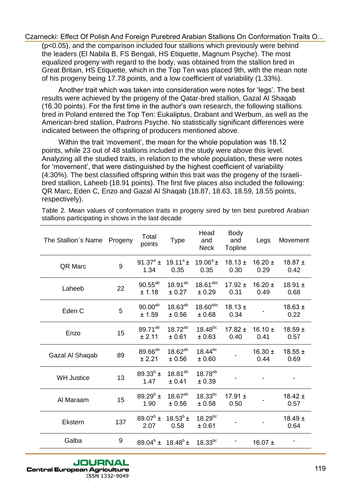| (p<0.05), and the comparison included four stallions which previously were behind                                                                                                                                                                                                                                                                                                                                                                                                                                                                                                                                                                                                                                                                                                            |         |                               |                               |                                  |                               |                     | Czarnecki: Effect Of Polish And Foreign Purebred Arabian Stallions On Conformation Traits O |
|----------------------------------------------------------------------------------------------------------------------------------------------------------------------------------------------------------------------------------------------------------------------------------------------------------------------------------------------------------------------------------------------------------------------------------------------------------------------------------------------------------------------------------------------------------------------------------------------------------------------------------------------------------------------------------------------------------------------------------------------------------------------------------------------|---------|-------------------------------|-------------------------------|----------------------------------|-------------------------------|---------------------|---------------------------------------------------------------------------------------------|
| the leaders (El Nabila B, FS Bengali, HS Etiquette, Magnum Psyche). The most<br>equalized progeny with regard to the body, was obtained from the stallion bred in<br>Great Britain, HS Etiquette, which in the Top Ten was placed 9th, with the mean note<br>of his progeny being 17.78 points, and a low coefficient of variability (1.33%).                                                                                                                                                                                                                                                                                                                                                                                                                                                |         |                               |                               |                                  |                               |                     |                                                                                             |
| Another trait which was taken into consideration were notes for 'legs'. The best<br>results were achieved by the progeny of the Qatar-bred stallion, Gazal AI Shaqab<br>(16.30 points). For the first time in the author's own research, the following stallions<br>bred in Poland entered the Top Ten: Eukaliptus, Drabant and Werbum, as well as the<br>American-bred stallion, Padrons Psyche. No statistically significant differences were<br>indicated between the offspring of producers mentioned above.                                                                                                                                                                                                                                                                             |         |                               |                               |                                  |                               |                     |                                                                                             |
| Within the trait 'movement', the mean for the whole population was 18.12<br>points, while 23 out of 48 stallions included in the study were above this level.<br>Analyzing all the studied traits, in relation to the whole population, these were notes<br>for 'movement', that were distinguished by the highest coefficient of variability<br>(4.30%). The best classified offspring within this trait was the progeny of the Israeli-<br>bred stallion, Laheeb (18.91 points). The first five places also included the following:<br>QR Marc, Eden C, Enzo and Gazal Al Shaqab (18.87, 18.63, 18.59, 18.55 points,<br>respectively).<br>Table 2. Mean values of conformation traits in progeny sired by ten best purebred Arabian<br>stallions participating in shows in the last decade |         |                               |                               |                                  |                               |                     |                                                                                             |
| The Stallion's Name                                                                                                                                                                                                                                                                                                                                                                                                                                                                                                                                                                                                                                                                                                                                                                          | Progeny | Total<br>points               | Type                          | Head<br>and<br><b>Neck</b>       | <b>Body</b><br>and<br>Topline | Legs                | Movement                                                                                    |
| QR Marc                                                                                                                                                                                                                                                                                                                                                                                                                                                                                                                                                                                                                                                                                                                                                                                      | 9       | 91.37 $^{\circ}$ ±<br>1.34    | 19.11 $^{\circ}$ ±<br>0.35    | $19.06^{\circ}$ ±<br>0.35        | $18.13 \pm$<br>0.30           | 16.20 $\pm$<br>0.29 | 18.87 $\pm$<br>0.42                                                                         |
|                                                                                                                                                                                                                                                                                                                                                                                                                                                                                                                                                                                                                                                                                                                                                                                              |         |                               |                               |                                  |                               |                     |                                                                                             |
| Laheeb                                                                                                                                                                                                                                                                                                                                                                                                                                                                                                                                                                                                                                                                                                                                                                                       | 22      | $90.55^{ab}$<br>± 1.18        | $18.91^{ab}$<br>± 0.27        | $18.61$ <sup>abc</sup><br>± 0.29 | $17.92 \pm$<br>0.31           | $16.20 \pm$<br>0.49 | 18.91 $\pm$<br>0.68                                                                         |
| Eden C                                                                                                                                                                                                                                                                                                                                                                                                                                                                                                                                                                                                                                                                                                                                                                                       | 5       | $90.00^{ab}$<br>± 1.59        | $18.63^{ab}$<br>± 0.56        | $18.60$ <sup>abc</sup><br>± 0.68 | $18.13 \pm$<br>0.34           |                     | $18.63 \pm$<br>0.22                                                                         |
| Enzo                                                                                                                                                                                                                                                                                                                                                                                                                                                                                                                                                                                                                                                                                                                                                                                         | 15      | 89.71 <sup>ab</sup><br>± 2.11 | $18.72^{ab}$<br>± 0.61        | $18.48^{bc}$<br>± 0.63           | $17.82 \pm$<br>0.40           | 16.10 $\pm$<br>0.41 | $18.59 \pm$<br>0.57                                                                         |
| Gazal Al Shaqab                                                                                                                                                                                                                                                                                                                                                                                                                                                                                                                                                                                                                                                                                                                                                                              | 89      | 89.66 <sup>ab</sup><br>± 2.21 | $18.62^{ab}$<br>± 0.56        | $18.44^{bc}$<br>±0.60            |                               | $16.30 \pm$<br>0.44 | $18.55 \pm$<br>0.69                                                                         |
| <b>WH Justice</b>                                                                                                                                                                                                                                                                                                                                                                                                                                                                                                                                                                                                                                                                                                                                                                            | 13      | $89.33^{b}$ ±<br>1.47         | 18.81 <sup>ab</sup><br>± 0.41 | $18.78^{ab}$<br>± 0.39           |                               |                     |                                                                                             |
| Al Maraam                                                                                                                                                                                                                                                                                                                                                                                                                                                                                                                                                                                                                                                                                                                                                                                    | 15      | $89.29^{b}$ ±<br>1.90         | $18.67^{ab}$<br>± 0.56        | $18.33^{bc}$<br>± 0.58           | 17.91 $\pm$<br>0.50           |                     | $18.42 \pm$<br>0.57                                                                         |
| Ekstern                                                                                                                                                                                                                                                                                                                                                                                                                                                                                                                                                                                                                                                                                                                                                                                      | 137     | $89.07^b \pm$<br>2.07         | $18.53^{b}$ ±<br>0.58         | $18.29^{bc}$<br>± 0.61           |                               |                     | $18.49 \pm$<br>0.64                                                                         |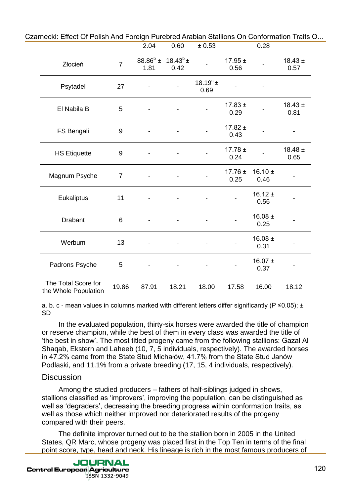| $18.43^{b}$ ±<br>$88.86^b \pm$<br>17.95 $\pm$<br>$\overline{7}$<br>Złocień<br>0.56<br>1.81<br>0.42<br>18.19 $^{\circ}$ ±<br>Psytadel<br>27<br>0.69<br>$17.83 \pm$<br>El Nabila B<br>5<br>0.29<br>17.82 $\pm$<br>FS Bengali<br>9<br>0.43<br>$17.78 \pm$<br><b>HS Etiquette</b><br>9<br>0.24<br>17.76 $\pm$<br>16.10 $\pm$<br>Magnum Psyche<br>$\overline{7}$<br>0.25<br>0.46<br>$16.12 \pm$<br>Eukaliptus<br>11<br>0.56<br>16.08 $\pm$<br>Drabant<br>6<br>0.25<br>16.08 $\pm$<br>Werbum<br>13<br>0.31<br>16.07 $\pm$<br>Padrons Psyche<br>5<br>0.37<br>The Total Score for<br>19.86<br>87.91<br>18.21<br>18.00<br>17.58<br>16.00<br>the Whole Population<br>a. b. c - mean values in columns marked with different letters differ significantly ( $P \le 0.05$ ); $\pm$<br>SD<br>In the evaluated population, thirty-six horses were awarded the title of champion<br>or reserve champion, while the best of them in every class was awarded the title of<br>'the best in show'. The most titled progeny came from the following stallions: Gazal Al<br>Shaqab, Ekstern and Laheeb (10, 7, 5 individuals, respectively). The awarded horses<br>in 47.2% came from the State Stud Michałów, 41.7% from the State Stud Janów<br>Podlaski, and 11.1% from a private breeding (17, 15, 4 individuals, respectively).<br><b>Discussion</b><br>Among the studied producers – fathers of half-siblings judged in shows,<br>stallions classified as 'improvers', improving the population, can be distinguished as<br>well as 'degraders', decreasing the breeding progress within conformation traits, as<br>well as those which neither improved nor deteriorated results of the progeny<br>compared with their peers.<br>The definite improver turned out to be the stallion born in 2005 in the United<br>States, QR Marc, whose progeny was placed first in the Top Ten in terms of the final |  | 2.04 | 0.60 | ± 0.53 | 0.28 |                     |
|-------------------------------------------------------------------------------------------------------------------------------------------------------------------------------------------------------------------------------------------------------------------------------------------------------------------------------------------------------------------------------------------------------------------------------------------------------------------------------------------------------------------------------------------------------------------------------------------------------------------------------------------------------------------------------------------------------------------------------------------------------------------------------------------------------------------------------------------------------------------------------------------------------------------------------------------------------------------------------------------------------------------------------------------------------------------------------------------------------------------------------------------------------------------------------------------------------------------------------------------------------------------------------------------------------------------------------------------------------------------------------------------------------------------------------------------------------------------------------------------------------------------------------------------------------------------------------------------------------------------------------------------------------------------------------------------------------------------------------------------------------------------------------------------------------------------------------------------------------------------------------------------|--|------|------|--------|------|---------------------|
|                                                                                                                                                                                                                                                                                                                                                                                                                                                                                                                                                                                                                                                                                                                                                                                                                                                                                                                                                                                                                                                                                                                                                                                                                                                                                                                                                                                                                                                                                                                                                                                                                                                                                                                                                                                                                                                                                           |  |      |      |        |      | $18.43 \pm$<br>0.57 |
|                                                                                                                                                                                                                                                                                                                                                                                                                                                                                                                                                                                                                                                                                                                                                                                                                                                                                                                                                                                                                                                                                                                                                                                                                                                                                                                                                                                                                                                                                                                                                                                                                                                                                                                                                                                                                                                                                           |  |      |      |        |      |                     |
|                                                                                                                                                                                                                                                                                                                                                                                                                                                                                                                                                                                                                                                                                                                                                                                                                                                                                                                                                                                                                                                                                                                                                                                                                                                                                                                                                                                                                                                                                                                                                                                                                                                                                                                                                                                                                                                                                           |  |      |      |        |      | $18.43 \pm$<br>0.81 |
|                                                                                                                                                                                                                                                                                                                                                                                                                                                                                                                                                                                                                                                                                                                                                                                                                                                                                                                                                                                                                                                                                                                                                                                                                                                                                                                                                                                                                                                                                                                                                                                                                                                                                                                                                                                                                                                                                           |  |      |      |        |      |                     |
|                                                                                                                                                                                                                                                                                                                                                                                                                                                                                                                                                                                                                                                                                                                                                                                                                                                                                                                                                                                                                                                                                                                                                                                                                                                                                                                                                                                                                                                                                                                                                                                                                                                                                                                                                                                                                                                                                           |  |      |      |        |      | $18.48 \pm$<br>0.65 |
|                                                                                                                                                                                                                                                                                                                                                                                                                                                                                                                                                                                                                                                                                                                                                                                                                                                                                                                                                                                                                                                                                                                                                                                                                                                                                                                                                                                                                                                                                                                                                                                                                                                                                                                                                                                                                                                                                           |  |      |      |        |      |                     |
|                                                                                                                                                                                                                                                                                                                                                                                                                                                                                                                                                                                                                                                                                                                                                                                                                                                                                                                                                                                                                                                                                                                                                                                                                                                                                                                                                                                                                                                                                                                                                                                                                                                                                                                                                                                                                                                                                           |  |      |      |        |      |                     |
|                                                                                                                                                                                                                                                                                                                                                                                                                                                                                                                                                                                                                                                                                                                                                                                                                                                                                                                                                                                                                                                                                                                                                                                                                                                                                                                                                                                                                                                                                                                                                                                                                                                                                                                                                                                                                                                                                           |  |      |      |        |      |                     |
|                                                                                                                                                                                                                                                                                                                                                                                                                                                                                                                                                                                                                                                                                                                                                                                                                                                                                                                                                                                                                                                                                                                                                                                                                                                                                                                                                                                                                                                                                                                                                                                                                                                                                                                                                                                                                                                                                           |  |      |      |        |      |                     |
|                                                                                                                                                                                                                                                                                                                                                                                                                                                                                                                                                                                                                                                                                                                                                                                                                                                                                                                                                                                                                                                                                                                                                                                                                                                                                                                                                                                                                                                                                                                                                                                                                                                                                                                                                                                                                                                                                           |  |      |      |        |      |                     |
|                                                                                                                                                                                                                                                                                                                                                                                                                                                                                                                                                                                                                                                                                                                                                                                                                                                                                                                                                                                                                                                                                                                                                                                                                                                                                                                                                                                                                                                                                                                                                                                                                                                                                                                                                                                                                                                                                           |  |      |      |        |      | 18.12               |
|                                                                                                                                                                                                                                                                                                                                                                                                                                                                                                                                                                                                                                                                                                                                                                                                                                                                                                                                                                                                                                                                                                                                                                                                                                                                                                                                                                                                                                                                                                                                                                                                                                                                                                                                                                                                                                                                                           |  |      |      |        |      |                     |
|                                                                                                                                                                                                                                                                                                                                                                                                                                                                                                                                                                                                                                                                                                                                                                                                                                                                                                                                                                                                                                                                                                                                                                                                                                                                                                                                                                                                                                                                                                                                                                                                                                                                                                                                                                                                                                                                                           |  |      |      |        |      |                     |
|                                                                                                                                                                                                                                                                                                                                                                                                                                                                                                                                                                                                                                                                                                                                                                                                                                                                                                                                                                                                                                                                                                                                                                                                                                                                                                                                                                                                                                                                                                                                                                                                                                                                                                                                                                                                                                                                                           |  |      |      |        |      |                     |
| point score, type, head and neck. His lineage is rich in the most famous producers of                                                                                                                                                                                                                                                                                                                                                                                                                                                                                                                                                                                                                                                                                                                                                                                                                                                                                                                                                                                                                                                                                                                                                                                                                                                                                                                                                                                                                                                                                                                                                                                                                                                                                                                                                                                                     |  |      |      |        |      |                     |

### **Discussion**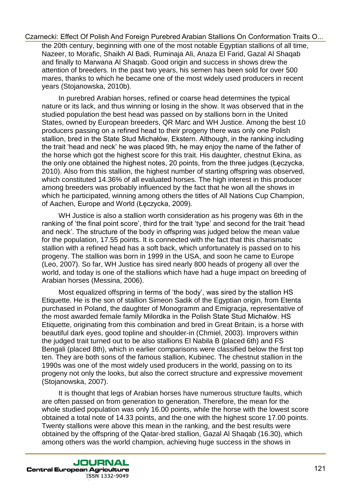the 20th century, beginning with one of the most notable Egyptian stallions of all time, Nazeer, to Morafic, Shaikh Al Badi, Ruminaja Ali, Anaza El Farid, Gazal Al Shaqab and finally to Marwana Al Shaqab. Good origin and success in shows drew the attention of breeders. In the past two years, his semen has been sold for over 500 mares, thanks to which he became one of the most widely used producers in recent years (Stojanowska, 2010b).

In purebred Arabian horses, refined or coarse head determines the typical nature or its lack, and thus winning or losing in the show. It was observed that in the studied population the best head was passed on by stallions born in the United States, owned by European breeders, QR Marc and WH Justice. Among the best 10 producers passing on a refined head to their progeny there was only one Polish stallion, bred in the State Stud Michałów, Ekstern. Although, in the ranking including the trait 'head and neck' he was placed 9th, he may enjoy the name of the father of the horse which got the highest score for this trait. His daughter, chestnut Ekina, as the only one obtained the highest notes, 20 points, from the three judges (Łęczycka, 2010). Also from this stallion, the highest number of starting offspring was observed, which constituted 14.36% of all evaluated horses. The high interest in this producer among breeders was probably influenced by the fact that he won all the shows in which he participated, winning among others the titles of All Nations Cup Champion, of Aachen, Europe and World (Łęczycka, 2009). Czarnecki. Effect of Probas And Foreign Purebeck Anabian Stalinons On Conformation Trails O...<br>Maximum and Foreign Pure and Foreign Pure and Foreign Pure and Foreign Pure and All Amaza Elisard, to Nordick Sharika All Amaza

WH Justice is also a stallion worth consideration as his progeny was 6th in the ranking of 'the final point score', third for the trait 'type' and second for the trait 'head and neck'. The structure of the body in offspring was judged below the mean value for the population, 17.55 points. It is connected with the fact that this charismatic stallion with a refined head has a soft back, which unfortunately is passed on to his progeny. The stallion was born in 1999 in the USA, and soon he came to Europe (Leo, 2007). So far, WH Justice has sired nearly 800 heads of progeny all over the world, and today is one of the stallions which have had a huge impact on breeding of Arabian horses (Messina, 2006).

Most equalized offspring in terms of 'the body', was sired by the stallion HS Etiquette. He is the son of stallion Simeon Sadik of the Egyptian origin, from Etenta purchased in Poland, the daughter of Monogramm and Emigracja, representative of the most awarded female family Milordka in the Polish State Stud Michałów. HS Etiquette, originating from this combination and bred in Great Britain, is a horse with beautiful dark eyes, good topline and shoulder-in (Chmiel, 2003). Improvers within the judged trait turned out to be also stallions El Nabila B (placed 6th) and FS Bengali (placed 8th), which in earlier comparisons were classified below the first top ten. They are both sons of the famous stallion, Kubinec. The chestnut stallion in the 1990s was one of the most widely used producers in the world, passing on to its progeny not only the looks, but also the correct structure and expressive movement (Stojanowska, 2007).

It is thought that legs of Arabian horses have numerous structure faults, which are often passed on from generation to generation. Therefore, the mean for the whole studied population was only 16.00 points, while the horse with the lowest score obtained a total note of 14.33 points, and the one with the highest score 17.00 points. Twenty stallions were above this mean in the ranking, and the best results were obtained by the offspring of the Qatar-bred stallion, Gazal Al Shaqab (16.30), which among others was the world champion, achieving huge success in the shows in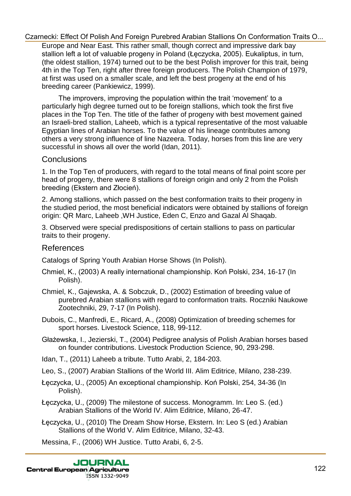Europe and Near East. This rather small, though correct and impressive dark bay stallion left a lot of valuable progeny in Poland (Łęczycka, 2005). Eukaliptus, in turn, (the oldest stallion, 1974) turned out to be the best Polish improver for this trait, being 4th in the Top Ten, right after three foreign producers. The Polish Champion of 1979, at first was used on a smaller scale, and left the best progeny at the end of his breeding career (Pankiewicz, 1999).

The improvers, improving the population within the trait 'movement' to a particularly high degree turned out to be foreign stallions, which took the first five places in the Top Ten. The title of the father of progeny with best movement gained an Israeli-bred stallion, Laheeb, which is a typical representative of the most valuable Egyptian lines of Arabian horses. To the value of his lineage contributes among others a very strong influence of line Nazeera. Today, horses from this line are very successful in shows all over the world (Idan, 2011). Czarnecki. Effect Of Polish And Foreign Purebreoi Arabian Stalinons On Contomation Trains on the super and Near Eest. This rather and Hecker-Rat. 2005, Euclidiby the method of Valuable progress And Day<br>
(the niest start o

### Conclusions

1. In the Top Ten of producers, with regard to the total means of final point score per head of progeny, there were 8 stallions of foreign origin and only 2 from the Polish breeding (Ekstern and Złocień).

2. Among stallions, which passed on the best conformation traits to their progeny in the studied period, the most beneficial indicators were obtained by stallions of foreign origin: QR Marc, Laheeb ,WH Justice, Eden C, Enzo and Gazal Al Shaqab.

3. Observed were special predispositions of certain stallions to pass on particular traits to their progeny.

### References

Catalogs of Spring Youth Arabian Horse Shows (In Polish).

- Chmiel, K., (2003) A really international championship. Koń Polski, 234, 16-17 (In Polish).
- Chmiel, K., Gajewska, A. & Sobczuk, D., (2002) Estimation of breeding value of purebred Arabian stallions with regard to conformation traits. Roczniki Naukowe Zootechniki, 29, 7-17 (In Polish).
- Dubois, C., Manfredi, E., Ricard, A., (2008) Optimization of breeding schemes for sport horses. Livestock Science, 118, 99-112.
- Głażewska, I., Jezierski, T., (2004) Pedigree analysis of Polish Arabian horses based on founder contributions. Livestock Production Science, 90, 293-298.
- Idan, T., (2011) Laheeb a tribute. Tutto Arabi, 2, 184-203.
- Leo, S., (2007) Arabian Stallions of the World III. Alim Editrice, Milano, 238-239.
- Łęczycka, U., (2005) An exceptional championship. Koń Polski, 254, 34-36 (In Polish).
- Łęczycka, U., (2009) The milestone of success. Monogramm. In: Leo S. (ed.) Arabian Stallions of the World IV. Alim Editrice, Milano, 26-47.
- Łęczycka, U., (2010) The Dream Show Horse, Ekstern. In: Leo S (ed.) Arabian Stallions of the World V. Alim Editrice, Milano, 32-43.

Messina, F., (2006) WH Justice. Tutto Arabi, 6, 2-5.